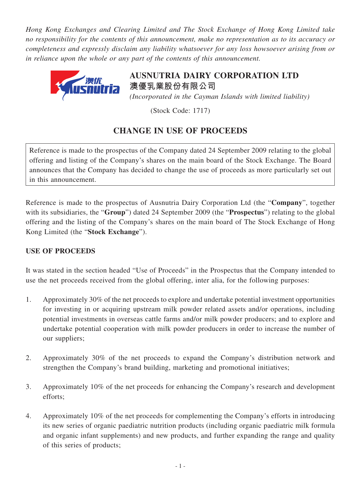*Hong Kong Exchanges and Clearing Limited and The Stock Exchange of Hong Kong Limited take no responsibility for the contents of this announcement, make no representation as to its accuracy or completeness and expressly disclaim any liability whatsoever for any loss howsoever arising from or in reliance upon the whole or any part of the contents of this announcement.*



**AUSNUTRIA DAIRY CORPORATION LTD 澳優乳業股份有限公司** *(Incorporated in the Cayman Islands with limited liability)*

(Stock Code: 1717)

## **CHANGE IN USE OF PROCEEDS**

Reference is made to the prospectus of the Company dated 24 September 2009 relating to the global offering and listing of the Company's shares on the main board of the Stock Exchange. The Board announces that the Company has decided to change the use of proceeds as more particularly set out in this announcement.

Reference is made to the prospectus of Ausnutria Dairy Corporation Ltd (the "**Company**", together with its subsidiaries, the "**Group**") dated 24 September 2009 (the "**Prospectus**") relating to the global offering and the listing of the Company's shares on the main board of The Stock Exchange of Hong Kong Limited (the "**Stock Exchange**").

## **USE OF PROCEEDS**

It was stated in the section headed "Use of Proceeds" in the Prospectus that the Company intended to use the net proceeds received from the global offering, inter alia, for the following purposes:

- 1. Approximately 30% of the net proceeds to explore and undertake potential investment opportunities for investing in or acquiring upstream milk powder related assets and/or operations, including potential investments in overseas cattle farms and/or milk powder producers; and to explore and undertake potential cooperation with milk powder producers in order to increase the number of our suppliers;
- 2. Approximately 30% of the net proceeds to expand the Company's distribution network and strengthen the Company's brand building, marketing and promotional initiatives;
- 3. Approximately 10% of the net proceeds for enhancing the Company's research and development efforts;
- 4. Approximately 10% of the net proceeds for complementing the Company's efforts in introducing its new series of organic paediatric nutrition products (including organic paediatric milk formula and organic infant supplements) and new products, and further expanding the range and quality of this series of products;